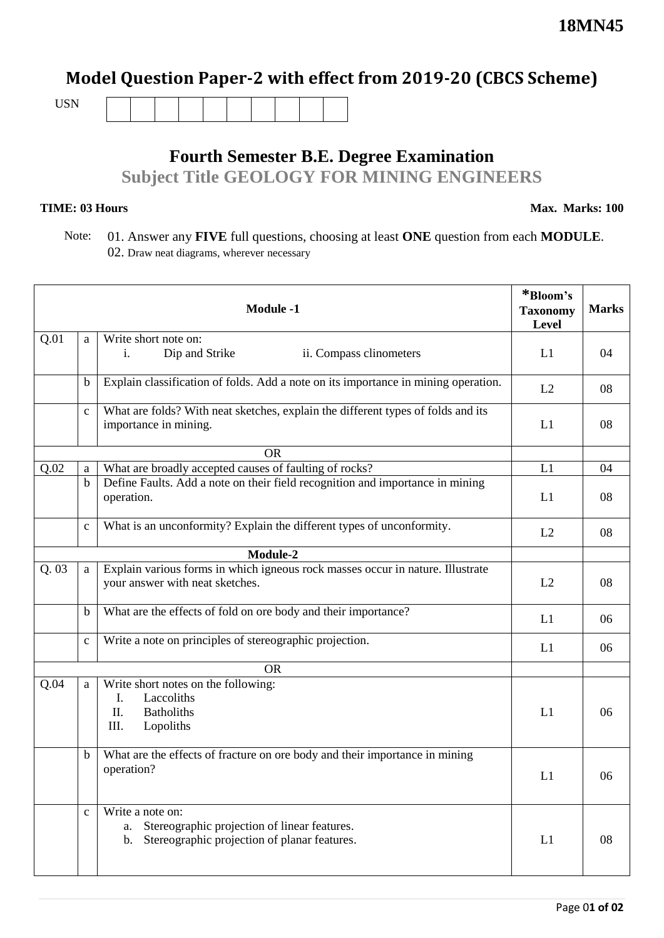## **Model Question Paper-2 with effect from 2019-20 (CBCS Scheme)**

USN

## **Fourth Semester B.E. Degree Examination Subject Title GEOLOGY FOR MINING ENGINEERS**

## **TIME: 03 Hours**

**Max. Marks: 100**

 Note: 01. Answer any **FIVE** full questions, choosing at least **ONE** question from each **MODULE**. 02. Draw neat diagrams, wherever necessary

|      |              | <b>Module -1</b>                                                                                                                         | *Bloom's<br><b>Taxonomy</b><br>Level | <b>Marks</b> |
|------|--------------|------------------------------------------------------------------------------------------------------------------------------------------|--------------------------------------|--------------|
| Q.01 | a            | Write short note on:<br>Dip and Strike<br>ii. Compass clinometers<br>i.                                                                  | L1                                   | 04           |
|      | $\mathbf b$  | Explain classification of folds. Add a note on its importance in mining operation.                                                       | L2                                   | 08           |
|      | $\mathbf{c}$ | What are folds? With neat sketches, explain the different types of folds and its<br>importance in mining.                                | L1                                   | 08           |
|      |              | <b>OR</b>                                                                                                                                |                                      |              |
| Q.02 | a            | What are broadly accepted causes of faulting of rocks?                                                                                   | L1                                   | 04           |
|      | $\mathbf b$  | Define Faults. Add a note on their field recognition and importance in mining<br>operation.                                              | L1                                   | 08           |
|      | $\mathbf c$  | What is an unconformity? Explain the different types of unconformity.                                                                    | L2                                   | 08           |
|      |              | Module-2                                                                                                                                 |                                      |              |
| Q.03 | a            | Explain various forms in which igneous rock masses occur in nature. Illustrate<br>your answer with neat sketches.                        | L2                                   | 08           |
|      | b            | What are the effects of fold on ore body and their importance?                                                                           | L1                                   | 06           |
|      | $\mathbf{c}$ | Write a note on principles of stereographic projection.                                                                                  | L1                                   | 06           |
|      |              | <b>OR</b>                                                                                                                                |                                      |              |
| Q.04 | a            | Write short notes on the following:<br>Laccoliths<br>I.<br>П.<br><b>Batholiths</b><br>III.<br>Lopoliths                                  | L1                                   | 06           |
|      | $\mathbf b$  | What are the effects of fracture on ore body and their importance in mining<br>operation?                                                | L1                                   | 06           |
|      | $\mathbf{C}$ | Write a note on:<br>Stereographic projection of linear features.<br>a.<br>Stereographic projection of planar features.<br>$\mathbf{b}$ . | L1                                   | 08           |